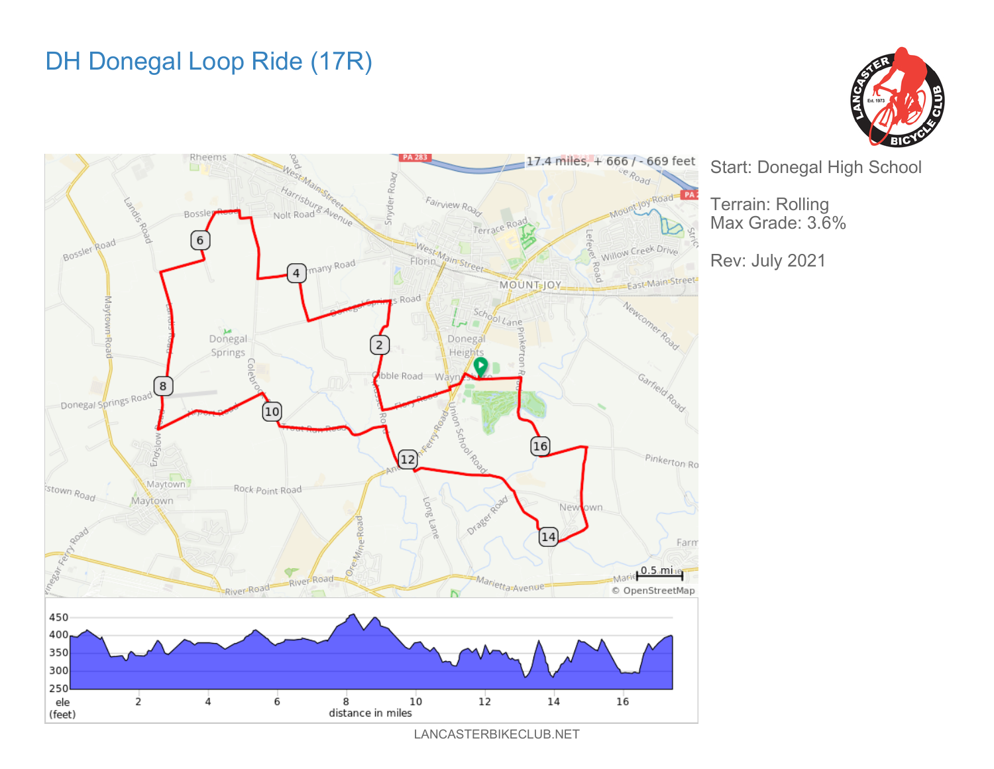## DH Donegal Loop Ride (17R)





Start: Donegal High School

Terrain: Rolling Max Grade: 3.6%

Rev: July 2021